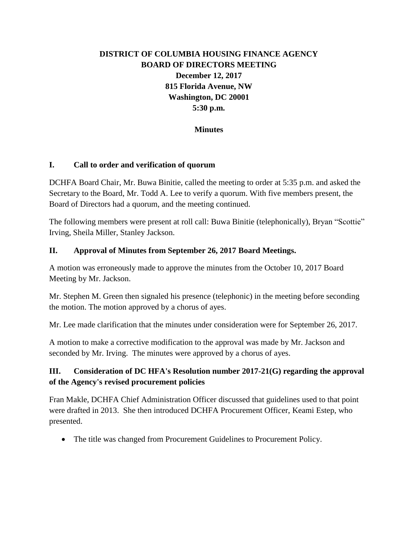# **DISTRICT OF COLUMBIA HOUSING FINANCE AGENCY BOARD OF DIRECTORS MEETING December 12, 2017 815 Florida Avenue, NW Washington, DC 20001 5:30 p.m.**

### **Minutes**

#### **I. Call to order and verification of quorum**

DCHFA Board Chair, Mr. Buwa Binitie, called the meeting to order at 5:35 p.m. and asked the Secretary to the Board, Mr. Todd A. Lee to verify a quorum. With five members present, the Board of Directors had a quorum, and the meeting continued.

The following members were present at roll call: Buwa Binitie (telephonically), Bryan "Scottie" Irving, Sheila Miller, Stanley Jackson.

#### **II. Approval of Minutes from September 26, 2017 Board Meetings.**

A motion was erroneously made to approve the minutes from the October 10, 2017 Board Meeting by Mr. Jackson.

Mr. Stephen M. Green then signaled his presence (telephonic) in the meeting before seconding the motion. The motion approved by a chorus of ayes.

Mr. Lee made clarification that the minutes under consideration were for September 26, 2017.

A motion to make a corrective modification to the approval was made by Mr. Jackson and seconded by Mr. Irving. The minutes were approved by a chorus of ayes.

### **III. Consideration of DC HFA's Resolution number 2017-21(G) regarding the approval of the Agency's revised procurement policies**

Fran Makle, DCHFA Chief Administration Officer discussed that guidelines used to that point were drafted in 2013. She then introduced DCHFA Procurement Officer, Keami Estep, who presented.

The title was changed from Procurement Guidelines to Procurement Policy.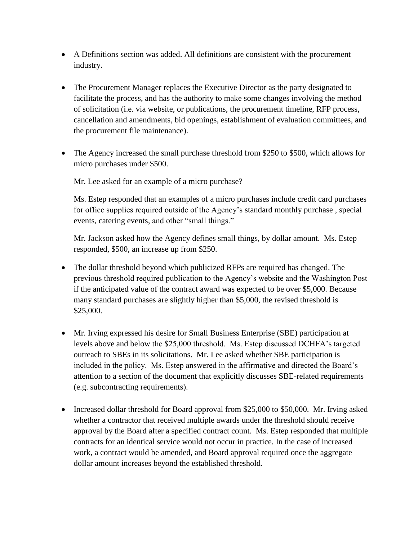- A Definitions section was added. All definitions are consistent with the procurement industry.
- The Procurement Manager replaces the Executive Director as the party designated to facilitate the process, and has the authority to make some changes involving the method of solicitation (i.e. via website, or publications, the procurement timeline, RFP process, cancellation and amendments, bid openings, establishment of evaluation committees, and the procurement file maintenance).
- The Agency increased the small purchase threshold from \$250 to \$500, which allows for micro purchases under \$500.

Mr. Lee asked for an example of a micro purchase?

Ms. Estep responded that an examples of a micro purchases include credit card purchases for office supplies required outside of the Agency's standard monthly purchase , special events, catering events, and other "small things."

Mr. Jackson asked how the Agency defines small things, by dollar amount. Ms. Estep responded, \$500, an increase up from \$250.

- The dollar threshold beyond which publicized RFPs are required has changed. The previous threshold required publication to the Agency's website and the Washington Post if the anticipated value of the contract award was expected to be over \$5,000. Because many standard purchases are slightly higher than \$5,000, the revised threshold is \$25,000.
- Mr. Irving expressed his desire for Small Business Enterprise (SBE) participation at levels above and below the \$25,000 threshold. Ms. Estep discussed DCHFA's targeted outreach to SBEs in its solicitations. Mr. Lee asked whether SBE participation is included in the policy. Ms. Estep answered in the affirmative and directed the Board's attention to a section of the document that explicitly discusses SBE-related requirements (e.g. subcontracting requirements).
- Increased dollar threshold for Board approval from \$25,000 to \$50,000. Mr. Irving asked whether a contractor that received multiple awards under the threshold should receive approval by the Board after a specified contract count. Ms. Estep responded that multiple contracts for an identical service would not occur in practice. In the case of increased work, a contract would be amended, and Board approval required once the aggregate dollar amount increases beyond the established threshold.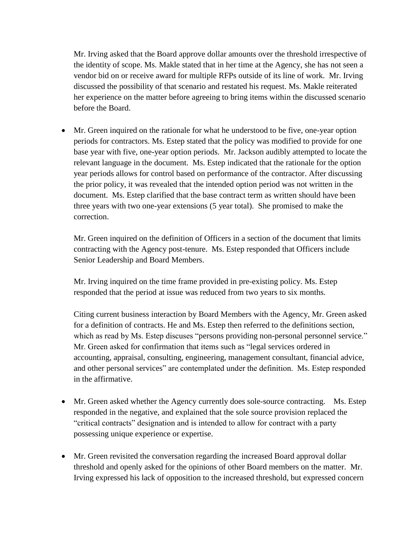Mr. Irving asked that the Board approve dollar amounts over the threshold irrespective of the identity of scope. Ms. Makle stated that in her time at the Agency, she has not seen a vendor bid on or receive award for multiple RFPs outside of its line of work. Mr. Irving discussed the possibility of that scenario and restated his request. Ms. Makle reiterated her experience on the matter before agreeing to bring items within the discussed scenario before the Board.

 Mr. Green inquired on the rationale for what he understood to be five, one-year option periods for contractors. Ms. Estep stated that the policy was modified to provide for one base year with five, one-year option periods. Mr. Jackson audibly attempted to locate the relevant language in the document. Ms. Estep indicated that the rationale for the option year periods allows for control based on performance of the contractor. After discussing the prior policy, it was revealed that the intended option period was not written in the document. Ms. Estep clarified that the base contract term as written should have been three years with two one-year extensions (5 year total). She promised to make the correction.

Mr. Green inquired on the definition of Officers in a section of the document that limits contracting with the Agency post-tenure. Ms. Estep responded that Officers include Senior Leadership and Board Members.

Mr. Irving inquired on the time frame provided in pre-existing policy. Ms. Estep responded that the period at issue was reduced from two years to six months.

Citing current business interaction by Board Members with the Agency, Mr. Green asked for a definition of contracts. He and Ms. Estep then referred to the definitions section, which as read by Ms. Estep discuses "persons providing non-personal personnel service." Mr. Green asked for confirmation that items such as "legal services ordered in accounting, appraisal, consulting, engineering, management consultant, financial advice, and other personal services" are contemplated under the definition. Ms. Estep responded in the affirmative.

- Mr. Green asked whether the Agency currently does sole-source contracting. Ms. Estep responded in the negative, and explained that the sole source provision replaced the "critical contracts" designation and is intended to allow for contract with a party possessing unique experience or expertise.
- Mr. Green revisited the conversation regarding the increased Board approval dollar threshold and openly asked for the opinions of other Board members on the matter. Mr. Irving expressed his lack of opposition to the increased threshold, but expressed concern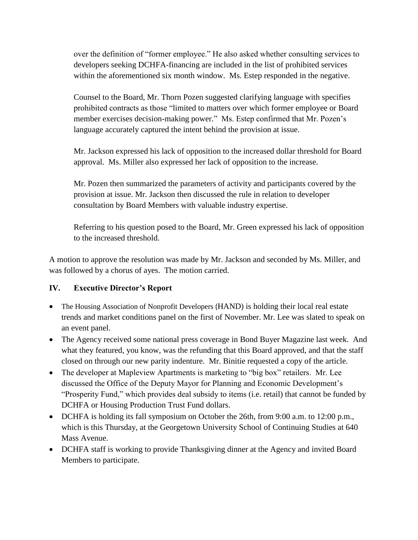over the definition of "former employee." He also asked whether consulting services to developers seeking DCHFA-financing are included in the list of prohibited services within the aforementioned six month window. Ms. Estep responded in the negative.

Counsel to the Board, Mr. Thorn Pozen suggested clarifying language with specifies prohibited contracts as those "limited to matters over which former employee or Board member exercises decision-making power." Ms. Estep confirmed that Mr. Pozen's language accurately captured the intent behind the provision at issue.

Mr. Jackson expressed his lack of opposition to the increased dollar threshold for Board approval. Ms. Miller also expressed her lack of opposition to the increase.

Mr. Pozen then summarized the parameters of activity and participants covered by the provision at issue. Mr. Jackson then discussed the rule in relation to developer consultation by Board Members with valuable industry expertise.

Referring to his question posed to the Board, Mr. Green expressed his lack of opposition to the increased threshold.

A motion to approve the resolution was made by Mr. Jackson and seconded by Ms. Miller, and was followed by a chorus of ayes. The motion carried.

# **IV. Executive Director's Report**

- The Housing Association of Nonprofit Developers (HAND) is holding their local real estate trends and market conditions panel on the first of November. Mr. Lee was slated to speak on an event panel.
- The Agency received some national press coverage in Bond Buyer Magazine last week. And what they featured, you know, was the refunding that this Board approved, and that the staff closed on through our new parity indenture. Mr. Binitie requested a copy of the article.
- The developer at Mapleview Apartments is marketing to "big box" retailers. Mr. Lee discussed the Office of the Deputy Mayor for Planning and Economic Development's "Prosperity Fund," which provides deal subsidy to items (i.e. retail) that cannot be funded by DCHFA or Housing Production Trust Fund dollars.
- DCHFA is holding its fall symposium on October the 26th, from 9:00 a.m. to 12:00 p.m., which is this Thursday, at the Georgetown University School of Continuing Studies at 640 Mass Avenue.
- DCHFA staff is working to provide Thanksgiving dinner at the Agency and invited Board Members to participate.